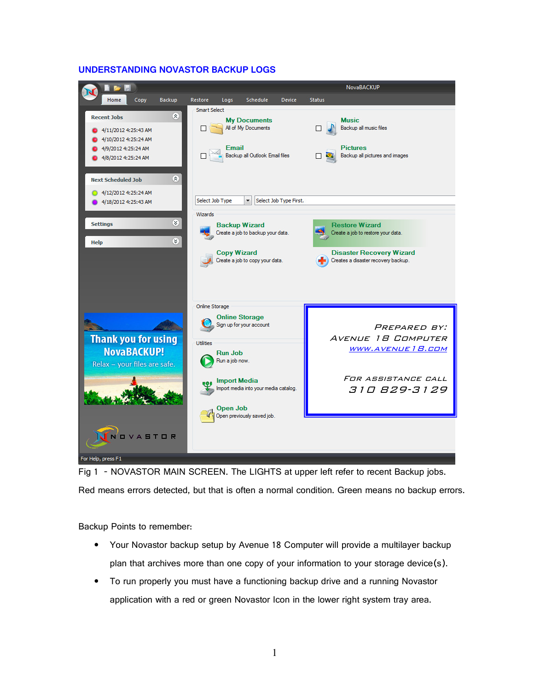#### NovaBACKUP **B** Home Copy Restore Logs Schedule Device Status Backup Smart Select 会 **Recent Jobs My Documents Music** All of My Documents  $\Box$ Backup all music files  $\Box$  $\bullet$  4/11/2012 4:25:43 AM  $\bullet$  4/10/2012 4:25:24 AM 4/9/2012 4:25:24 AM Email **Pictures Backup all Outlook Email files** 4/8/2012 4:25:24 AM  $\Box$  $\Box$ Backup all pictures and images **Next Scheduled Job**  $\otimes$ 4/12/2012 4:25:24 AM Select Job Type First. Select Job Type 4/18/2012 4:25:43 AM Wizards  $\otimes$ **Settings Backup Wizard Restore Wizard** Create a job to backup your data. Create a job to restore your data. Help  $\otimes$ **Copy Wizard Disaster Recovery Wizard** Create a job to copy your data. Creates a disaster recovery backup. Online Storage **Online Storage** Sign up for your account PREPARED BY: **Thank you for using**  Avenue 18 Computer Utilities www.avenue18.com **NovaBACKUP!** Run Job Run a job now. Relax - your files are safe. For assistance call **Import Media** Import media into your media catalog. 310 829-3129 **Open Job** Open previously saved job **OVASTOR** For Help, press F1

# **UNDERSTANDING NOVASTOR BACKUP LOGS**

Fig 1 - NOVASTOR MAIN SCREEN. The LIGHTS at upper left refer to recent Backup jobs. Red means errors detected, but that is often a normal condition. Green means no backup errors.

Backup Points to remember:

- Your Novastor backup setup by Avenue 18 Computer will provide a multilayer backup plan that archives more than one copy of your information to your storage device(s).
- To run properly you must have a functioning backup drive and a running Novastor application with a red or green Novastor Icon in the lower right system tray area.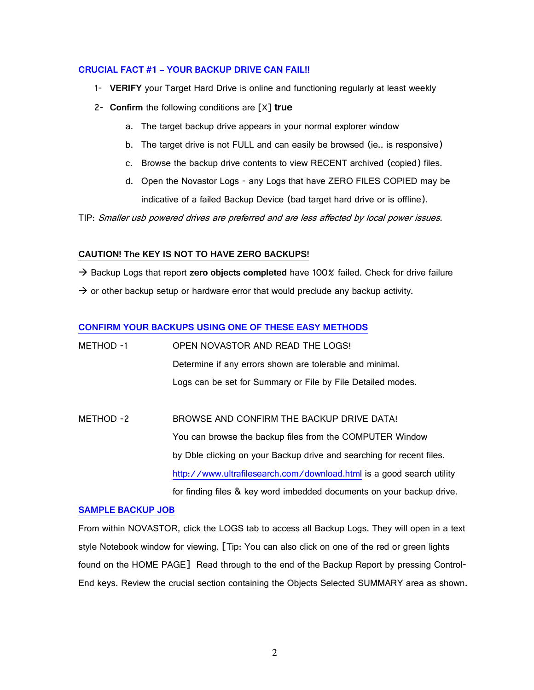# **CRUCIAL FACT #1 - YOUR BACKUP DRIVE CAN FAIL!!**

- **VERIFY** your Target Hard Drive is online and functioning regularly at least weekly
- 4 **Confirm** the following conditions are 5X7 **true**
	- a. The target backup drive appears in your normal explorer window
	- b. The target drive is not FULL and can easily be browsed (ie.. is responsive)
	- c. Browse the backup drive contents to view RECENT archived (copied) files.
	- d. Open the Novastor Logs any Logs that have ZERO FILES COPIED may be indicative of a failed Backup Device (bad target hard drive or is offline).

TIP: Smaller usb powered drives are preferred and are less affected by local power issues.

# **CAUTION! The KEY IS NOT TO HAVE ZERO BACKUPS!**

 $\rightarrow$  Backup Logs that report zero objects completed have 100% failed. Check for drive failure  $\rightarrow$  or other backup setup or hardware error that would preclude any backup activity.

# **CONFIRM YOUR BACKUPS USING ONE OF THESE EASY METHODS**

| METHOD -1 | OPEN NOVASTOR AND READ THE LOGS!                            |
|-----------|-------------------------------------------------------------|
|           | Determine if any errors shown are tolerable and minimal.    |
|           | Logs can be set for Summary or File by File Detailed modes. |

METHOD -2 BROWSE AND CONFIRM THE BACKUP DRIVE DATA! You can browse the backup files from the COMPUTER Window by Dble clicking on your Backup drive and searching for recent files http://www.ultrafilesearch.com/download.html is a good search utility for finding files & key word imbedded documents on your backup drive.

# **SAMPLE BACKUP JOB**

From within NOVASTOR, click the LOGS tab to access all Backup Logs. They will open in a text style Notebook window for viewing. [Tip: You can also click on one of the red or green lights found on the HOME PAGE] Read through to the end of the Backup Report by pressing Control-End keys. Review the crucial section containing the Objects Selected SUMMARY area as shown.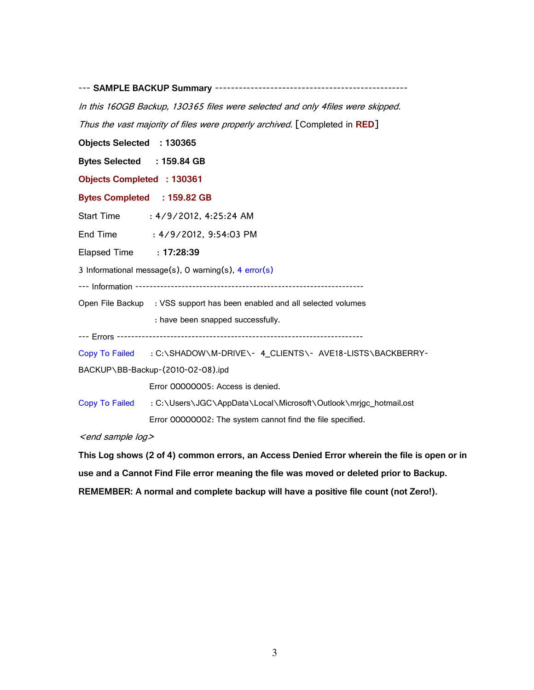**SAMPLE BACKUP Summary**

In this 160GB Backup, 130365 files were selected and only 4files were skipped. Thus the vast majority of files were properly archived. [Completed in RED]

**Objects Selected : 130365** 

Bytes Selected : 159.84 GB

**Objects Completed : 130361** 

Bytes Completed : 159.82 GB

Start Time : 4/9/2012, 4:25:24 AM

End Time : 4/9/2012, 9:54:03 PM

Elapsed Time : **17:28:39** 

3 Informational message(s), 0 warning(s),  $4$  error(s)

Information

Open File Backup : VSS support has been enabled and all selected volumes : have been snapped successfully.

Errors

Copy To Failed : C:\SHADOW\M-DRIVE\- 4\_CLIENTS\- AVE18-LISTS\BACKBERRY-

BACKUP\BB-Backup-(2010-02-08).ipd

Error 00000005: Access is denied.

Copy To Failed : C:\Users\JGC\AppData\Local\Microsoft\Outlook\mrjgc\_hotmail.ost Error 00000002: The system cannot find the file specified.

 $\leq$ end sample log $\geq$ 

This Log shows (2 of 4) common errors, an Access Denied Error wherein the file is open or in use and a Cannot Find File error meaning the file was moved or deleted prior to Backup. **REMEMBER: A normal and complete backup will have a positive file count (not Zero!).**